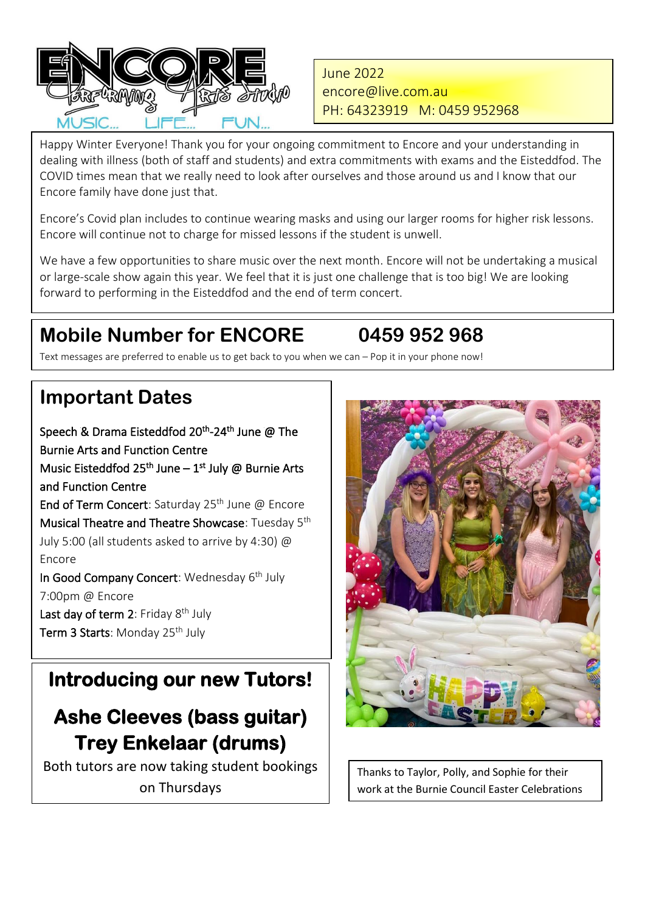

June 2022 [encore@live.com.au](mailto:encore@live.com.au) PH: 64323919 M: 0459 952968

 dealing with illness (both of staff and students) and extra commitments with exams and the Eisteddfod. The COVID times mean that we really need to look after ourselves and those around us and I know that our Happy Winter Everyone! Thank you for your ongoing commitment to Encore and your understanding in Encore family have done just that.

Encore's Covid plan includes to continue wearing masks and using our larger rooms for higher risk lessons. Encore will continue not to charge for missed lessons if the student is unwell.

We have a few opportunities to share music over the next month. Encore will not be undertaking a musical or large-scale show again this year. We feel that it is just one challenge that is too big! We are looking forward to performing in the Eisteddfod and the end of term concert.

## **Mobile Number for ENCORE 0459 952 968**

### Text messages are preferred to enable us to get back to you when we can – Pop it in your phone now!

## **Important Dates**

Speech & Drama Eisteddfod 20<sup>th</sup>-24<sup>th</sup> June @ The Burnie Arts and Function Centre Music Eisteddfod 25<sup>th</sup> June – 1<sup>st</sup> July @ Burnie Arts and Function Centre End of Term Concert: Saturday  $25<sup>th</sup>$  June @ Encore Musical Theatre and Theatre Showcase: Tuesday 5<sup>th</sup> July 5:00 (all students asked to arrive by 4:30) @ Encore In Good Company Concert: Wednesday 6<sup>th</sup> July 7:00pm @ Encore Last day of term 2: Friday 8<sup>th</sup> July Term 3 Starts: Monday 25<sup>th</sup> July

## **Introducing our new Tutors!**

## **Ashe Cleeves (bass guitar) Trey Enkelaar (drums)**

Both tutors are now taking student bookings on Thursdays



Thanks to Taylor, Polly, and Sophie for their work at the Burnie Council Easter Celebrations